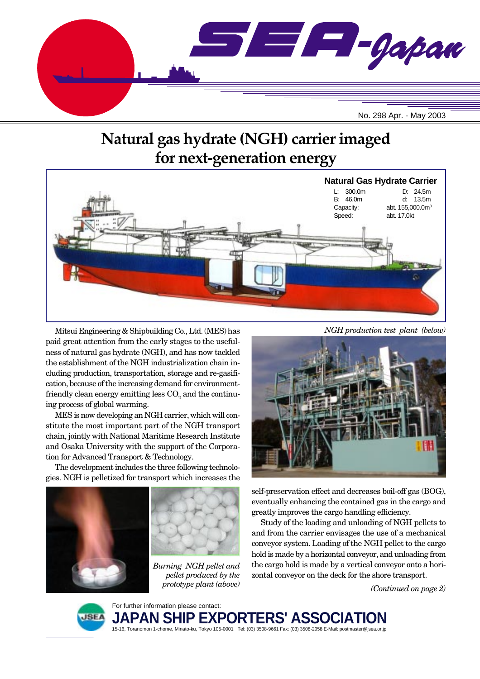

# **Natural gas hydrate (NGH) carrier imaged for next-generation energy**



Mitsui Engineering & Shipbuilding Co., Ltd. (MES) has paid great attention from the early stages to the usefulness of natural gas hydrate (NGH), and has now tackled the establishment of the NGH industrialization chain including production, transportation, storage and re-gasification, because of the increasing demand for environmentfriendly clean energy emitting less  $\mathrm{CO}_2^{}$  and the continuing process of global warming.

MES is now developing an NGH carrier, which will constitute the most important part of the NGH transport chain, jointly with National Maritime Research Institute and Osaka University with the support of the Corporation for Advanced Transport & Technology.

The development includes the three following technologies. NGH is pelletized for transport which increases the





*Burning NGH pellet and pellet produced by the prototype plant (above)*



self-preservation effect and decreases boil-off gas (BOG), eventually enhancing the contained gas in the cargo and greatly improves the cargo handling efficiency.

Study of the loading and unloading of NGH pellets to and from the carrier envisages the use of a mechanical conveyor system. Loading of the NGH pellet to the cargo hold is made by a horizontal conveyor, and unloading from the cargo hold is made by a vertical conveyor onto a horizontal conveyor on the deck for the shore transport.

*(Continued on page 2)*



For further information please contact: **JAPAN SH** 15-16, Toranomon 1-chome, Minato-ku, Tokyo 105-0001 Tel: (03) 3508-9661 Fax: (03) 3508-2058 E-Mail: postmaster@jsea.or.jp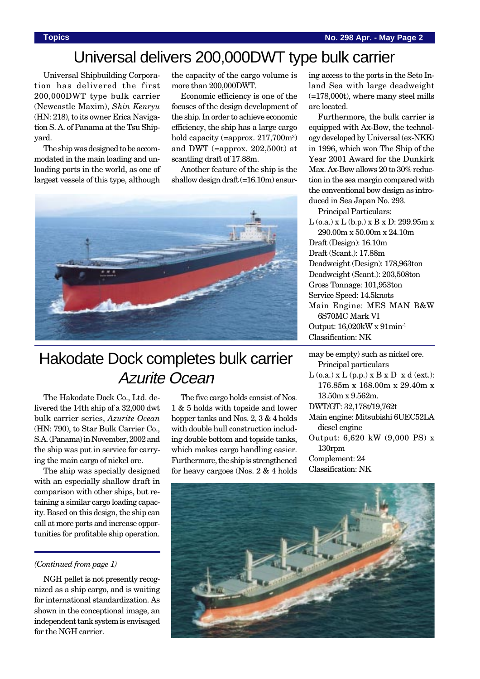# Universal delivers 200,000DWT type bulk carrier

Universal Shipbuilding Corporation has delivered the first 200,000DWT type bulk carrier (Newcastle Maxim), *Shin Kenryu* (HN: 218), to its owner Erica Navigation S. A. of Panama at the Tsu Shipyard.

The ship was designed to be accommodated in the main loading and unloading ports in the world, as one of largest vessels of this type, although

the capacity of the cargo volume is more than 200,000DWT.

Economic efficiency is one of the focuses of the design development of the ship. In order to achieve economic efficiency, the ship has a large cargo hold capacity (=approx. 217,700m<sup>3</sup>) and DWT (=approx. 202,500t) at scantling draft of 17.88m.

Another feature of the ship is the shallow design draft (=16.10m) ensur-



# Hakodate Dock completes bulk carrier Azurite Ocean

The Hakodate Dock Co., Ltd. delivered the 14th ship of a 32,000 dwt bulk carrier series, *Azurite Ocean* (HN: 790), to Star Bulk Carrier Co., S.A. (Panama) in November, 2002 and the ship was put in service for carrying the main cargo of nickel ore.

The ship was specially designed with an especially shallow draft in comparison with other ships, but retaining a similar cargo loading capacity. Based on this design, the ship can call at more ports and increase opportunities for profitable ship operation.

### *(Continued from page 1)*

NGH pellet is not presently recognized as a ship cargo, and is waiting for international standardization. As shown in the conceptional image, an independent tank system is envisaged for the NGH carrier.

The five cargo holds consist of Nos. 1 & 5 holds with topside and lower hopper tanks and Nos. 2, 3 & 4 holds with double hull construction including double bottom and topside tanks, which makes cargo handling easier. Furthermore, the ship is strengthened for heavy cargoes (Nos. 2 & 4 holds

ing access to the ports in the Seto Inland Sea with large deadweight (=178,000t), where many steel mills are located.

Furthermore, the bulk carrier is equipped with Ax-Bow, the technology developed by Universal (ex-NKK) in 1996, which won The Ship of the Year 2001 Award for the Dunkirk Max. Ax-Bow allows 20 to 30% reduction in the sea margin compared with the conventional bow design as introduced in Sea Japan No. 293.

Principal Particulars:

L (o.a.) x L (b.p.) x B x D: 299.95m x 290.00m x 50.00m x 24.10m

Draft (Design): 16.10m Draft (Scant.): 17.88m Deadweight (Design): 178,963ton Deadweight (Scant.): 203,508ton Gross Tonnage: 101,953ton Service Speed: 14.5knots Main Engine: MES MAN B&W 6S70MC Mark VI Output: 16,020kW x 91min-1 Classification: NK

may be empty) such as nickel ore. Principal particulars

- $L$  (o.a.) x  $L$  (p.p.) x  $B \times D \times d$  (ext.): 176.85m x 168.00m x 29.40m x 13.50m x 9.562m.
- DWT/GT: 32,178t/19,762t
- Main engine: Mitsubishi 6UEC52LA diesel engine
- Output: 6,620 kW (9,000 PS) x 130rpm

Complement: 24 Classification: NK

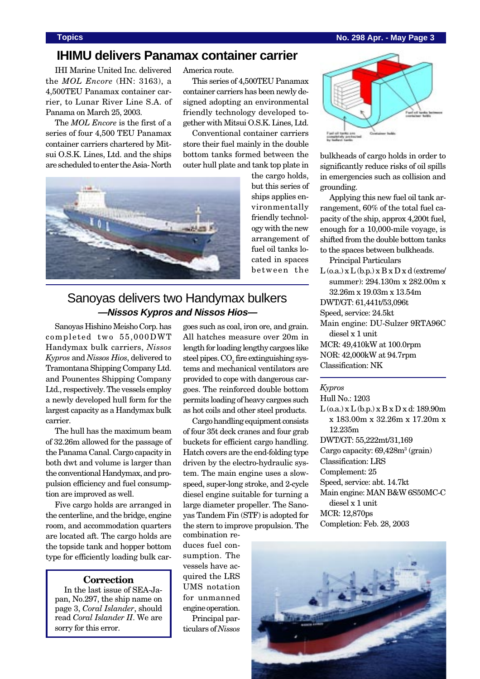### **Topics No. 298 Apr. - May Page 3**

## **IHIMU delivers Panamax container carrier**

IHI Marine United Inc. delivered the *MOL Encore* (HN: 3163), a 4,500TEU Panamax container carrier, to Lunar River Line S.A. of Panama on March 25, 2003.

The *MOL Encore* is the first of a series of four 4,500 TEU Panamax container carriers chartered by Mitsui O.S.K. Lines, Ltd. and the ships are scheduled to enter the Asia- North

America route.

This series of 4,500TEU Panamax container carriers has been newly designed adopting an environmental friendly technology developed together with Mitsui O.S.K. Lines, Ltd.

Conventional container carriers store their fuel mainly in the double bottom tanks formed between the outer hull plate and tank top plate in



the cargo holds, but this series of ships applies environmentally friendly technology with the new arrangement of fuel oil tanks located in spaces between the

## Sanoyas delivers two Handymax bulkers **—Nissos Kypros and Nissos Hios—**

Sanoyas Hishino Meisho Corp. has completed two 55,000DWT Handymax bulk carriers, *Nissos Kypros* and *Nissos Hios*, delivered to Tramontana Shipping Company Ltd. and Pounentes Shipping Company Ltd., respectively. The vessels employ a newly developed hull form for the largest capacity as a Handymax bulk carrier.

The hull has the maximum beam of 32.26m allowed for the passage of the Panama Canal. Cargo capacity in both dwt and volume is larger than the conventional Handymax, and propulsion efficiency and fuel consumption are improved as well.

Five cargo holds are arranged in the centerline, and the bridge, engine room, and accommodation quarters are located aft. The cargo holds are the topside tank and hopper bottom type for efficiently loading bulk car-

#### **Correction**

In the last issue of SEA-Japan, No.297, the ship name on page 3, *Coral Islander*, should read *Coral Islander II*. We are sorry for this error.

goes such as coal, iron ore, and grain. All hatches measure over 20m in length for loading lengthy cargoes like steel pipes.  $\mathrm{CO}_2$  fire extinguishing systems and mechanical ventilators are provided to cope with dangerous cargoes. The reinforced double bottom permits loading of heavy cargoes such as hot coils and other steel products.

Cargo handling equipment consists of four 35t deck cranes and four grab buckets for efficient cargo handling. Hatch covers are the end-folding type driven by the electro-hydraulic system. The main engine uses a slowspeed, super-long stroke, and 2-cycle diesel engine suitable for turning a large diameter propeller. The Sanoyas Tandem Fin (STF) is adopted for the stern to improve propulsion. The combination re-

duces fuel consumption. The vessels have acquired the LRS UMS notation for unmanned engine operation. Principal par-

ticulars of *Nissos*



bulkheads of cargo holds in order to significantly reduce risks of oil spills in emergencies such as collision and grounding.

Applying this new fuel oil tank arrangement, 60% of the total fuel capacity of the ship, approx 4,200t fuel, enough for a 10,000-mile voyage, is shifted from the double bottom tanks to the spaces between bulkheads.

Principal Particulars

 $L$  (o.a.)  $x L$  (b.p.)  $x B x D x d$  (extreme/ summer): 294.130m x 282.00m x 32.26m x 19.03m x 13.54m DWT/GT: 61,441t/53,096t Speed, service: 24.5kt Main engine: DU-Sulzer 9RTA96C diesel x 1 unit MCR: 49,410kW at 100.0rpm NOR: 42,000kW at 94.7rpm Classification: NK

#### *Kypros*

Hull No.: 1203 L (o.a.) x L (b.p.) x B x D x d: 189.90m x 183.00m x 32.26m x 17.20m x 12.235m DWT/GT: 55,222mt/31,169 Cargo capacity: 69,428m<sup>3</sup> (grain) Classification: LRS Complement: 25 Speed, service: abt. 14.7kt Main engine: MAN B&W 6S50MC-C diesel x 1 unit MCR: 12,870ps Completion: Feb. 28, 2003

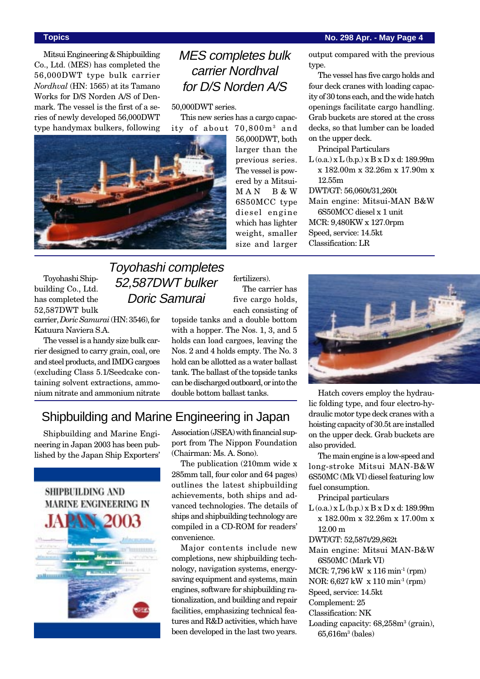### **Topics No. 298 Apr. - May Page 4**

Mitsui Engineering & Shipbuilding Co., Ltd. (MES) has completed the 56,000DWT type bulk carrier *Nordhval* (HN: 1565) at its Tamano Works for D/S Norden A/S of Denmark. The vessel is the first of a series of newly developed 56,000DWT type handymax bulkers, following

# MES completes bulk carrier Nordhval for D/S Norden A/S

50,000DWT series.

This new series has a cargo capacity of about 70,800m3 and



Toyohashi Shipbuilding Co., Ltd. has completed the 52,587DWT bulk carrier, *Doric Samurai* (HN: 3546), for Katuura Naviera S.A.

The vessel is a handy size bulk carrier designed to carry grain, coal, ore and steel products, and IMDG cargoes (excluding Class 5.1/Seedcake containing solvent extractions, ammonium nitrate and ammonium nitrate

# Toyohashi completes 52,587DWT bulker Doric Samurai

56,000DWT, both larger than the previous series. The vessel is powered by a Mitsui-MAN B&W 6S50MCC type diesel engine which has lighter weight, smaller size and larger

fertilizers). The carrier has five cargo holds, each consisting of

topside tanks and a double bottom with a hopper. The Nos. 1, 3, and 5 holds can load cargoes, leaving the Nos. 2 and 4 holds empty. The No. 3 hold can be allotted as a water ballast tank. The ballast of the topside tanks can be discharged outboard, or into the double bottom ballast tanks.

## Shipbuilding and Marine Engineering in Japan

Shipbuilding and Marine Engineering in Japan 2003 has been published by the Japan Ship Exporters'



Association (JSEA) with financial support from The Nippon Foundation (Chairman: Ms. A. Sono).

The publication (210mm wide x 285mm tall, four color and 64 pages) outlines the latest shipbuilding achievements, both ships and advanced technologies. The details of ships and shipbuilding technology are compiled in a CD-ROM for readers' convenience.

Major contents include new completions, new shipbuilding technology, navigation systems, energysaving equipment and systems, main engines, software for shipbuilding rationalization, and building and repair facilities, emphasizing technical features and R&D activities, which have been developed in the last two years.

output compared with the previous type.

The vessel has five cargo holds and four deck cranes with loading capacity of 30 tons each, and the wide hatch openings facilitate cargo handling. Grab buckets are stored at the cross decks, so that lumber can be loaded on the upper deck.

Principal Particulars

L (o.a.) x L (b.p.) x B x D x d: 189.99m x 182.00m x 32.26m x 17.90m x 12.55m

DWT/GT: 56,060t/31,260t

Main engine: Mitsui-MAN B&W 6S50MCC diesel x 1 unit MCR: 9,480KW x 127.0rpm Speed, service: 14.5kt Classification: LR



Hatch covers employ the hydraulic folding type, and four electro-hydraulic motor type deck cranes with a hoisting capacity of 30.5t are installed on the upper deck. Grab buckets are also provided.

The main engine is a low-speed and long-stroke Mitsui MAN-B&W 6S50MC (Mk VI) diesel featuring low fuel consumption.

Principal particulars

 $L$  (o.a.) x  $L$  (b.p.) x  $B$  x  $D$  x d: 189.99m x 182.00m x 32.26m x 17.00m x 12.00 m

DWT/GT: 52,587t/29,862t

Main engine: Mitsui MAN-B&W 6S50MC (Mark VI)

MCR: 7,796 kW x 116 min-1 (rpm)

NOR: 6,627 kW x 110 min-1 (rpm)

Speed, service: 14.5kt

Complement: 25

Classification: NK

Loading capacity: 68,258m<sup>3</sup> (grain), 65,616m3 (bales)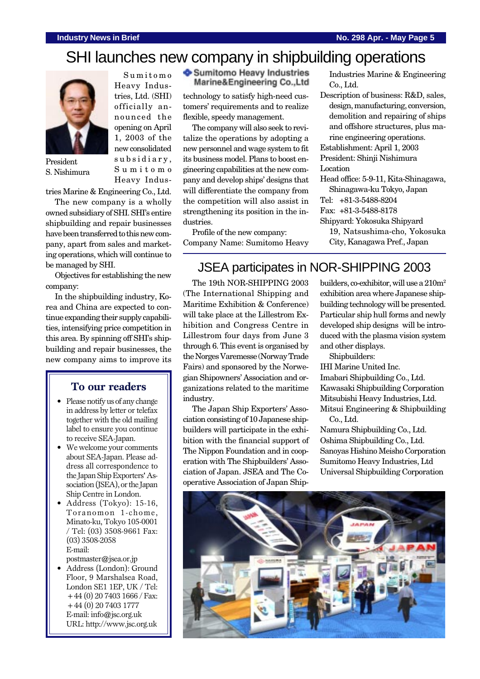# SHI launches new company in shipbuilding operations



President S. Nishimura

Sumitomo Heavy Industries, Ltd. (SHI) officially announced the opening on April 1, 2003 of the new consolidated subsidiary, Sumitomo Heavy IndusSumitomo Heavy Industries Marine&Engineering Co.,Ltd

technology to satisfy high-need customers' requirements and to realize flexible, speedy management.

The company will also seek to revitalize the operations by adopting a new personnel and wage system to fit its business model. Plans to boost engineering capabilities at the new company and develop ships' designs that will differentiate the company from the competition will also assist in strengthening its position in the industries.

Profile of the new company: Company Name: Sumitomo Heavy Industries Marine & Engineering Co., Ltd.

Description of business: R&D, sales, design, manufacturing, conversion, demolition and repairing of ships and offshore structures, plus marine engineering operations. Establishment: April 1, 2003

President: Shinji Nishimura Location

Head office: 5-9-11, Kita-Shinagawa,

Shinagawa-ku Tokyo, Japan

- Tel: +81-3-5488-8204
- Fax: +81-3-5488-8178
- Shipyard: Yokosuka Shipyard
	- 19, Natsushima-cho, Yokosuka City, Kanagawa Pref., Japan

### be managed by SHI. Objectives for establishing the new company:

tries Marine & Engineering Co., Ltd. The new company is a wholly owned subsidiary of SHI. SHI's entire shipbuilding and repair businesses have been transferred to this new company, apart from sales and marketing operations, which will continue to

In the shipbuilding industry, Korea and China are expected to continue expanding their supply capabilities, intensifying price competition in this area. By spinning off SHI's shipbuilding and repair businesses, the new company aims to improve its

## **To our readers**

- Please notify us of any change in address by letter or telefax together with the old mailing label to ensure you continue to receive SEA-Japan.
- We welcome your comments about SEA-Japan. Please address all correspondence to the Japan Ship Exporters' Association (JSEA), or the Japan Ship Centre in London.
- Address (Tokyo): 15-16, Toranomon 1-chome, Minato-ku, Tokyo 105-0001 / Tel: (03) 3508-9661 Fax: (03) 3508-2058 E-mail: postmaster@jsea.or.jp

• Address (London): Ground

Floor, 9 Marshalsea Road, London SE1 1EP, UK / Tel: +44 (0) 20 7403 1666 / Fax: +44 (0) 20 7403 1777 E-mail: info@jsc.org.uk URL: http://www.jsc.org.uk

JSEA participates in NOR-SHIPPING 2003

The 19th NOR-SHIPPING 2003 (The International Shipping and Maritime Exhibition & Conference) will take place at the Lillestrom Exhibition and Congress Centre in Lillestrom four days from June 3 through 6. This event is organised by the Norges Varemesse (Norway Trade Fairs) and sponsored by the Norwegian Shipowners' Association and organizations related to the maritime industry.

The Japan Ship Exporters' Association consisting of 10 Japanese shipbuilders will participate in the exhibition with the financial support of The Nippon Foundation and in cooperation with The Shipbuilders' Association of Japan. JSEA and The Cooperative Association of Japan Shipbuilders, co-exhibitor, will use a  $210m^2$ exhibition area where Japanese shipbuilding technology will be presented. Particular ship hull forms and newly developed ship designs will be introduced with the plasma vision system and other displays.

Shipbuilders:

IHI Marine United Inc. Imabari Shipbuilding Co., Ltd. Kawasaki Shipbuilding Corporation Mitsubishi Heavy Industries, Ltd. Mitsui Engineering & Shipbuilding Co., Ltd.

Namura Shipbuilding Co., Ltd. Oshima Shipbuilding Co., Ltd. Sanoyas Hishino Meisho Corporation Sumitomo Heavy Industries, Ltd Universal Shipbuilding Corporation